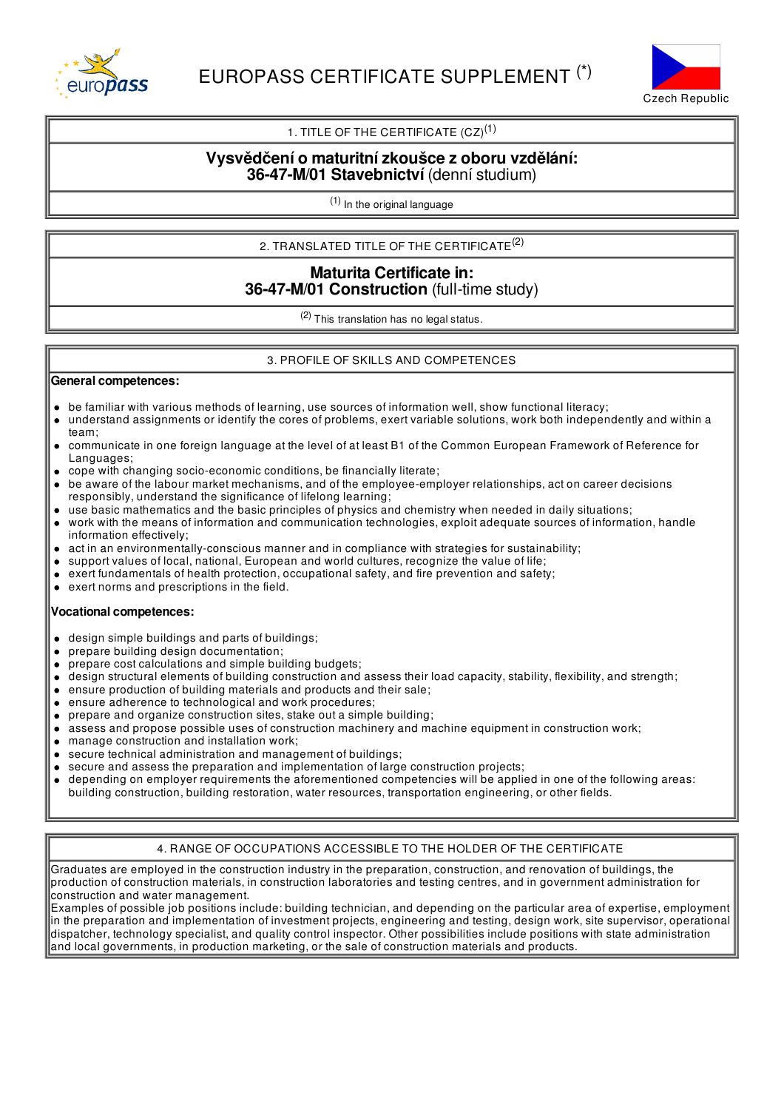



## 1. TITLE OF THE CERTIFICATE  $(CZ)^{(1)}$

## **Vysvědčení o maturitnízkoušce z oboru vzdělání: 36-47-M/01 Stavebnictví** (denní studium)

(1) In the original language

## 2. TRANSLATED TITLE OF THE CERTIFICATE $^{(2)}$

## **Maturita Certificate in: 36-47-M/01 Construction** (full-time study)

(2) This translation has no legal status.

#### 3. PROFILE OF SKILLS AND COMPETENCES

#### **General competences:**

- be familiar with various methods of learning, use sources of information well, show functional literacy;
- understand assignments or identify the cores of problems, exert variable solutions, work both independently and within a  $\bullet$ team;
- communicate in one foreign language at the level of at least B1 of the Common European Framework of Reference for  $\bullet$ Languages;
- cope with changing socio-economic conditions, be financially literate;
- be aware of the labour market mechanisms, and of the employee-employer relationships, act on career decisions responsibly, understand the significance of lifelong learning;
- use basic mathematics and the basic principles of physics and chemistry when needed in daily situations;
- work with the means of information and communication technologies, exploit adequate sources of information, handle information effectively;
- act in an environmentally-conscious manner and in compliance with strategies for sustainability;
- support values of local, national, European and world cultures, recognize the value of life;
- exert fundamentals of health protection, occupational safety, and fire prevention and safety;
- exert norms and prescriptions in the field.

#### **Vocational competences:**

- $\bullet$ design simple buildings and parts of buildings;
- prepare building design documentation;
- prepare cost calculations and simple building budgets;  $\bullet$
- design structural elements of building construction and assess their load capacity, stability, flexibility, and strength;
- ensure production of building materials and products and their sale;  $\bullet$
- ensure adherence to technological and work procedures;
- prepare and organize construction sites, stake out a simple building;  $\bullet$
- assess and propose possible uses of construction machinery and machine equipment in construction work;
- manage construction and installation work;  $\bullet$
- secure technical administration and management of buildings;
- secure and assess the preparation and implementation of large construction projects;
- depending on employer requirements the aforementioned competencies will be applied in one of the following areas: building construction, building restoration, water resources, transportation engineering, or other fields.

### 4. RANGE OF OCCUPATIONS ACCESSIBLE TO THE HOLDER OF THE CERTIFICATE

Graduates are employed in the construction industry in the preparation, construction, and renovation of buildings, the production of construction materials, in construction laboratories and testing centres, and in government administration for construction and water management.

Examples of possible job positions include: building technician, and depending on the particular area of expertise, employment in the preparation and implementation of investment projects, engineering and testing, design work, site supervisor, operational dispatcher, technology specialist, and quality control inspector. Other possibilities include positions with state administration and local governments, in production marketing, or the sale of construction materials and products.